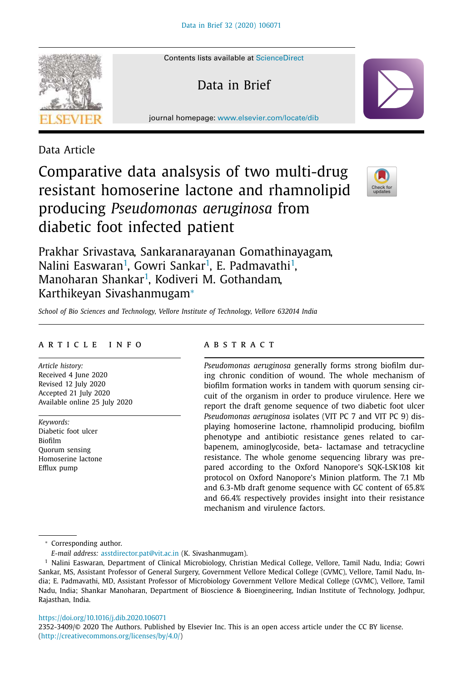

Contents lists available at ScienceDirect

Data in Brief

journal homepage: www.elsevier.com/locate/dib

Data Article

# Comparative data analsysis of two multi-drug resistant homoserine lactone and rhamnolipid producing *Pseudomonas aeruginosa* from diabetic foot infected patient



Prakhar Srivastava, Sankaranarayanan Gomathinayagam, Nalini Easwaran<sup>1</sup>, Gowri Sankar<sup>1</sup>, E. Padmavathi<sup>1</sup>, Manoharan Shankar<sup>1</sup>, Kodiveri M. Gothandam, Karthikeyan Sivashanmugam<sup>∗</sup>

*School of Bio Sciences and Technology, Vellore Institute of Technology, Vellore 632014 India*

## a r t i c l e i n f o

*Article history:* Received 4 June 2020 Revised 12 July 2020 Accepted 21 July 2020 Available online 25 July 2020

*Keywords:* Diabetic foot ulcer Biofilm Quorum sensing Homoserine lactone Efflux pump

# A B S T R A C T

*Pseudomonas aeruginosa* generally forms strong biofilm during chronic condition of wound. The whole mechanism of biofilm formation works in tandem with quorum sensing circuit of the organism in order to produce virulence. Here we report the draft genome sequence of two diabetic foot ulcer *Pseudomonas aeruginosa* isolates (VIT PC 7 and VIT PC 9) displaying homoserine lactone, rhamnolipid producing, biofilm phenotype and antibiotic resistance genes related to carbapenem, aminoglycoside, beta- lactamase and tetracycline resistance. The whole genome sequencing library was prepared according to the Oxford Nanopore's SQK-LSK108 kit protocol on Oxford Nanopore's Minion platform. The 7.1 Mb and 6.3-Mb draft genome sequence with GC content of 65.8% and 66.4% respectively provides insight into their resistance mechanism and virulence factors.

<sup>∗</sup> Corresponding author.

*E-mail address:* asstdirector.pat@vit.ac.in (K. Sivashanmugam).

## https://doi.org/10.1016/j.dib.2020.106071

2352-3409/© 2020 The Authors. Published by Elsevier Inc. This is an open access article under the CC BY license. (http://creativecommons.org/licenses/by/4.0/)

<sup>&</sup>lt;sup>1</sup> Nalini Easwaran, Department of Clinical Microbiology, Christian Medical College, Vellore, Tamil Nadu, India; Gowri Sankar, MS, Assistant Professor of General Surgery, Government Vellore Medical College (GVMC), Vellore, Tamil Nadu, India; E. Padmavathi, MD, Assistant Professor of Microbiology Government Vellore Medical College (GVMC), Vellore, Tamil Nadu, India; Shankar Manoharan, Department of Bioscience & Bioengineering, Indian Institute of Technology, Jodhpur, Rajasthan, India.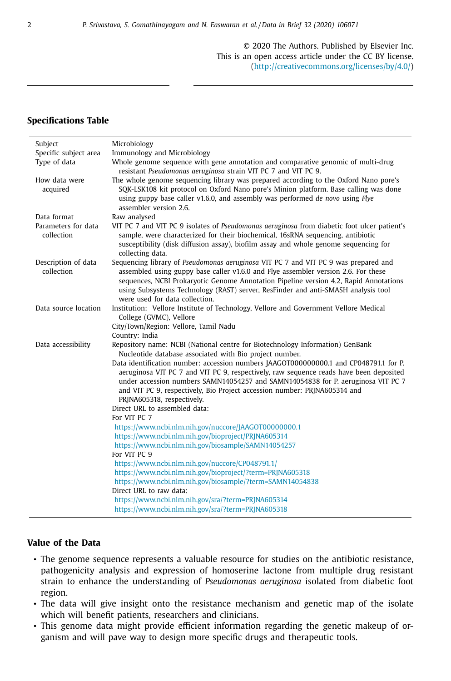© 2020 The Authors. Published by Elsevier Inc. This is an open access article under the CC BY license. (http://creativecommons.org/licenses/by/4.0/)

# **Specifications Table**

| Subject                           | Microbiology                                                                                                                                                                                                                                                                                                                                                                              |  |  |  |  |
|-----------------------------------|-------------------------------------------------------------------------------------------------------------------------------------------------------------------------------------------------------------------------------------------------------------------------------------------------------------------------------------------------------------------------------------------|--|--|--|--|
| Specific subject area             | Immunology and Microbiology                                                                                                                                                                                                                                                                                                                                                               |  |  |  |  |
| Type of data                      | Whole genome sequence with gene annotation and comparative genomic of multi-drug<br>resistant Pseudomonas aeruginosa strain VIT PC 7 and VIT PC 9.                                                                                                                                                                                                                                        |  |  |  |  |
| How data were<br>acquired         | The whole genome sequencing library was prepared according to the Oxford Nano pore's<br>SOK-LSK108 kit protocol on Oxford Nano pore's Minion platform. Base calling was done<br>using guppy base caller v1.6.0, and assembly was performed de novo using Flye<br>assembler version 2.6.                                                                                                   |  |  |  |  |
| Data format                       | Raw analysed                                                                                                                                                                                                                                                                                                                                                                              |  |  |  |  |
| Parameters for data<br>collection | VIT PC 7 and VIT PC 9 isolates of Pseudomonas aeruginosa from diabetic foot ulcer patient's<br>sample, were characterized for their biochemical, 16sRNA sequencing, antibiotic<br>susceptibility (disk diffusion assay), biofilm assay and whole genome sequencing for<br>collecting data.                                                                                                |  |  |  |  |
| Description of data<br>collection | Sequencing library of Pseudomonas aeruginosa VIT PC 7 and VIT PC 9 was prepared and<br>assembled using guppy base caller v1.6.0 and Flye assembler version 2.6. For these<br>sequences, NCBI Prokaryotic Genome Annotation Pipeline version 4.2, Rapid Annotations<br>using Subsystems Technology (RAST) server, ResFinder and anti-SMASH analysis tool<br>were used for data collection. |  |  |  |  |
| Data source location              | Institution: Vellore Institute of Technology, Vellore and Government Vellore Medical<br>College (GVMC), Vellore                                                                                                                                                                                                                                                                           |  |  |  |  |
|                                   | City/Town/Region: Vellore, Tamil Nadu                                                                                                                                                                                                                                                                                                                                                     |  |  |  |  |
|                                   | Country: India                                                                                                                                                                                                                                                                                                                                                                            |  |  |  |  |
| Data accessibility                | Repository name: NCBI (National centre for Biotechnology Information) GenBank<br>Nucleotide database associated with Bio project number.                                                                                                                                                                                                                                                  |  |  |  |  |
|                                   | Data identification number: accession numbers JAAGOT000000000.1 and CP048791.1 for P.<br>aeruginosa VIT PC 7 and VIT PC 9, respectively, raw sequence reads have been deposited<br>under accession numbers SAMN14054257 and SAMN14054838 for P. aeruginosa VIT PC 7<br>and VIT PC 9, respectively, Bio Project accession number: PRJNA605314 and<br>PRINA605318, respectively.            |  |  |  |  |
|                                   | Direct URL to assembled data:                                                                                                                                                                                                                                                                                                                                                             |  |  |  |  |
|                                   | For VIT PC 7                                                                                                                                                                                                                                                                                                                                                                              |  |  |  |  |
|                                   | https://www.ncbi.nlm.nih.gov/nuccore/JAAGOT00000000.1                                                                                                                                                                                                                                                                                                                                     |  |  |  |  |
|                                   | https://www.ncbi.nlm.nih.gov/bioproject/PRJNA605314                                                                                                                                                                                                                                                                                                                                       |  |  |  |  |
|                                   | https://www.ncbi.nlm.nih.gov/biosample/SAMN14054257                                                                                                                                                                                                                                                                                                                                       |  |  |  |  |
|                                   | For VIT PC 9                                                                                                                                                                                                                                                                                                                                                                              |  |  |  |  |
|                                   | https://www.ncbi.nlm.nih.gov/nuccore/CP048791.1/                                                                                                                                                                                                                                                                                                                                          |  |  |  |  |
|                                   | https://www.ncbi.nlm.nih.gov/bioproject/?term=PRJNA605318                                                                                                                                                                                                                                                                                                                                 |  |  |  |  |
|                                   | https://www.ncbi.nlm.nih.gov/biosample/?term=SAMN14054838                                                                                                                                                                                                                                                                                                                                 |  |  |  |  |
|                                   | Direct URL to raw data:                                                                                                                                                                                                                                                                                                                                                                   |  |  |  |  |
|                                   | https://www.ncbi.nlm.nih.gov/sra/?term=PRJNA605314                                                                                                                                                                                                                                                                                                                                        |  |  |  |  |
|                                   | https://www.ncbi.nlm.nih.gov/sra/?term=PRJNA605318                                                                                                                                                                                                                                                                                                                                        |  |  |  |  |

# **Value of the Data**

- The genome sequence represents a valuable resource for studies on the antibiotic resistance, pathogenicity analysis and expression of homoserine lactone from multiple drug resistant strain to enhance the understanding of *Pseudomonas aeruginosa* isolated from diabetic foot region.
- The data will give insight onto the resistance mechanism and genetic map of the isolate which will benefit patients, researchers and clinicians.
- This genome data might provide efficient information regarding the genetic makeup of organism and will pave way to design more specific drugs and therapeutic tools.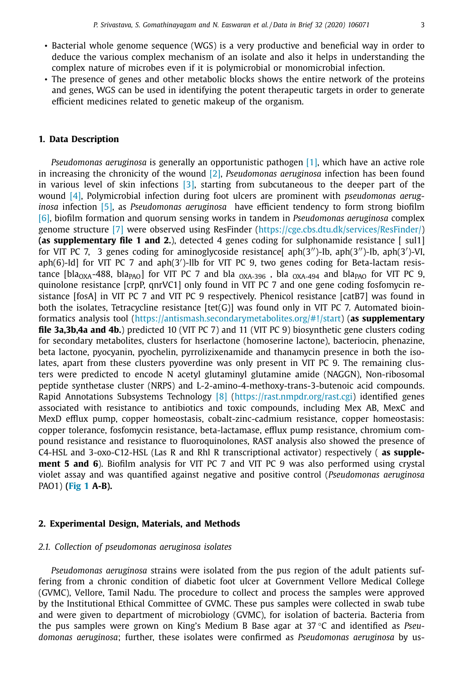- Bacterial whole genome sequence (WGS) is a very productive and beneficial way in order to deduce the various complex mechanism of an isolate and also it helps in understanding the complex nature of microbes even if it is polymicrobial or monomicrobial infection.
- The presence of genes and other metabolic blocks shows the entire network of the proteins and genes, WGS can be used in identifying the potent therapeutic targets in order to generate efficient medicines related to genetic makeup of the organism.

## **1. Data Description**

*Pseudomonas aeruginosa* is generally an opportunistic pathogen [1], which have an active role in increasing the chronicity of the wound [2], *Pseudomonas aeruginosa* infection has been found in various level of skin infections [3], starting from subcutaneous to the deeper part of the wound [4], Polymicrobial infection during foot ulcers are prominent with *pseudomonas aeruginosa* infection [5], as *Pseudomonas aeruginosa* have efficient tendency to form strong biofilm [6], biofilm formation and quorum sensing works in tandem in *Pseudomonas aeruginosa* complex genome structure [7] were observed using ResFinder (https://cge.cbs.dtu.dk/services/ResFinder/) **(as supplementary file 1 and 2.**), detected 4 genes coding for sulphonamide resistance [ sul1] for VIT PC 7, 3 genes coding for aminoglycoside resistance[ aph(3'')-Ib, aph(3'')-Ib, aph(3')-VI, aph(6)-Id] for VIT PC 7 and aph(3')-Ilb for VIT PC 9, two genes coding for Beta-lactam resistance [bla<sub>OXA</sub>-488, bla<sub>PAO</sub>] for VIT PC 7 and bla <sub>OXA-396</sub>, bla <sub>OXA-494</sub> and bla<sub>PAO</sub> for VIT PC 9, quinolone resistance [crpP, qnrVC1] only found in VIT PC 7 and one gene coding fosfomycin resistance [fosA] in VIT PC 7 and VIT PC 9 respectively. Phenicol resistance [catB7] was found in both the isolates, Tetracycline resistance  $[tet(G)]$  was found only in VIT PC 7. Automated bioinformatics analysis tool (https://antismash.secondarymetabolites.org/#!/start) (**as supplementary file 3a,3b,4a and 4b.**) predicted 10 (VIT PC 7) and 11 (VIT PC 9) biosynthetic gene clusters coding for secondary metabolites, clusters for hserlactone (homoserine lactone), bacteriocin, phenazine, beta lactone, pyocyanin, pyochelin, pyrrolizixenamide and thanamycin presence in both the isolates, apart from these clusters pyoverdine was only present in VIT PC 9. The remaining clusters were predicted to encode N acetyl glutaminyl glutamine amide (NAGGN), Non-ribosomal peptide synthetase cluster (NRPS) and L-2-amino-4-methoxy-trans-3-butenoic acid compounds. Rapid Annotations Subsystems Technology [8] (https://rast.nmpdr.org/rast.cgi) identified genes associated with resistance to antibiotics and toxic compounds, including Mex AB, MexC and MexD efflux pump, copper homeostasis, cobalt-zinc-cadmium resistance, copper homeostasis: copper tolerance, fosfomycin resistance, beta-lactamase, efflux pump resistance, chromium compound resistance and resistance to fluoroquinolones, RAST analysis also showed the presence of C4-HSL and 3-oxo-C12-HSL (Las R and Rhl R transcriptional activator) respectively ( **as supplement 5 and 6**). Biofilm analysis for VIT PC 7 and VIT PC 9 was also performed using crystal violet assay and was quantified against negative and positive control (*Pseudomonas aeruginosa* PAO1) **(Fig 1 A-B).**

#### **2. Experimental Design, Materials, and Methods**

#### *2.1. Collection of pseudomonas aeruginosa isolates*

*Pseudomonas aeruginosa* strains were isolated from the pus region of the adult patients suffering from a chronic condition of diabetic foot ulcer at Government Vellore Medical College (GVMC), Vellore, Tamil Nadu. The procedure to collect and process the samples were approved by the Institutional Ethical Committee of GVMC. These pus samples were collected in swab tube and were given to department of microbiology (GVMC), for isolation of bacteria. Bacteria from the pus samples were grown on King's Medium B Base agar at 37 °C and identified as *Pseudomonas aeruginosa*; further, these isolates were confirmed as *Pseudomonas aeruginosa* by us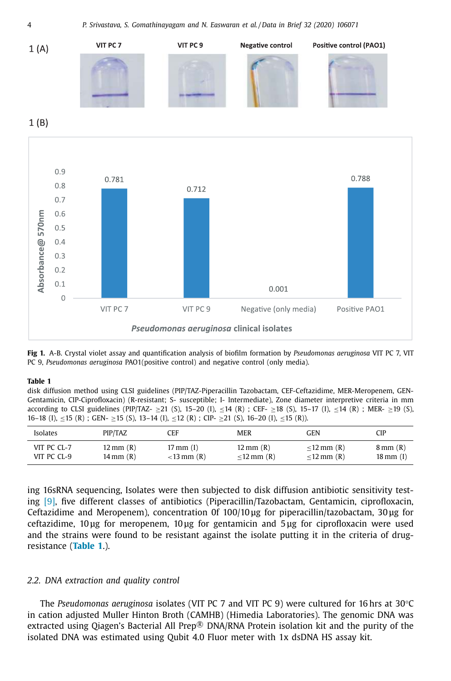4 *P. Srivastava, S. Gomathinayagam and N. Easwaran et al. /Data in Brief 32 (2020) 106071*



**Fig 1.** A-B. Crystal violet assay and quantification analysis of biofilm formation by *Pseudomonas aeruginosa* VIT PC 7, VIT PC 9, *Pseudomonas aeruginosa* PAO1(positive control) and negative control (only media).

#### **Table 1**

disk diffusion method using CLSI guidelines (PIP/TAZ-Piperacillin Tazobactam, CEF-Ceftazidime, MER-Meropenem, GEN-Gentamicin, CIP-Ciprofloxacin) (R-resistant; S- susceptible; I- Intermediate), Zone diameter interpretive criteria in mm according to CLSI guidelines (PIP/TAZ- ≥21 (S), 15–20 (I), ≤14 (R) ; CEF- ≥18 (S), 15–17 (I), ≤14 (R) ; MER- ≥19 (S), 16–18 (I), ≤15 (R) ; GEN- ≥15 (S), 13–14 (I), ≤12 (R) ; CIP- ≥21 (S), 16–20 (I), ≤15 (R)).

| Isolates    | PIP/TAZ                | CEF                 | <b>MER</b>            | GEN             | <b>CIP</b>             |
|-------------|------------------------|---------------------|-----------------------|-----------------|------------------------|
| VIT PC CL-7 | $12 \text{ mm}$ $(R)$  | $17 \text{ mm}$ (I) | $12 \text{ mm}$ $(R)$ | $<$ 12 mm $(R)$ | $8 \text{ mm}$ (R)     |
| VIT PC CL-9 | $14 \,\mathrm{mm}$ (R) | $<$ 13 mm $(R)$     | $<$ 12 mm $(R)$       | $<$ 12 mm $(R)$ | $18 \,\mathrm{mm}$ (I) |

ing 16sRNA sequencing, Isolates were then subjected to disk diffusion antibiotic sensitivity testing [9], five different classes of antibiotics (Piperacillin/Tazobactam, Gentamicin, ciprofloxacin, Ceftazidime and Meropenem), concentration 0f 100/10 μg for piperacillin/tazobactam, 30 μg for ceftazidime, 10 μg for meropenem, 10 μg for gentamicin and 5 μg for ciprofloxacin were used and the strains were found to be resistant against the isolate putting it in the criteria of drugresistance (**Table 1**.).

## *2.2. DNA extraction and quality control*

The *Pseudomonas aeruginosa* isolates (VIT PC 7 and VIT PC 9) were cultured for 16 hrs at 30°C in cation adjusted Muller Hinton Broth (CAMHB) (Himedia Laboratories). The genomic DNA was extracted using Qiagen's Bacterial All Prep $\mathbb{R}$  DNA/RNA Protein isolation kit and the purity of the isolated DNA was estimated using Qubit 4.0 Fluor meter with 1x dsDNA HS assay kit.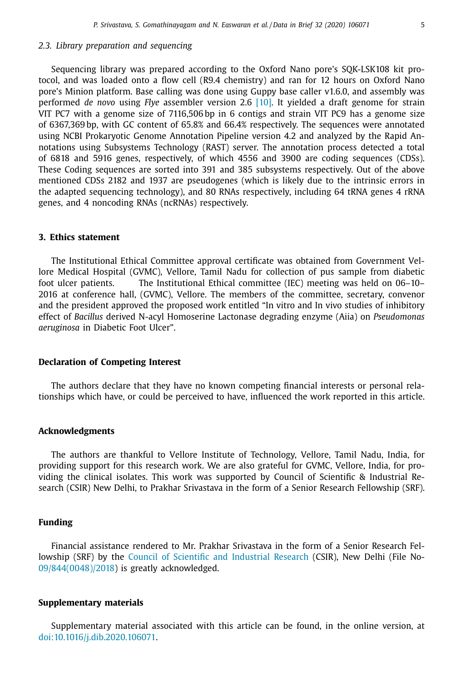## *2.3. Library preparation and sequencing*

Sequencing library was prepared according to the Oxford Nano pore's SQK-LSK108 kit protocol, and was loaded onto a flow cell (R9.4 chemistry) and ran for 12 hours on Oxford Nano pore's Minion platform. Base calling was done using Guppy base caller v1.6.0, and assembly was performed *de novo* using *Flye* assembler version 2.6 [10]. It yielded a draft genome for strain VIT PC7 with a genome size of 7116,506 bp in 6 contigs and strain VIT PC9 has a genome size of 6367,369 bp, with GC content of 65.8% and 66.4% respectively. The sequences were annotated using NCBI Prokaryotic Genome Annotation Pipeline version 4.2 and analyzed by the Rapid Annotations using Subsystems Technology (RAST) server. The annotation process detected a total of 6818 and 5916 genes, respectively, of which 4556 and 3900 are coding sequences (CDSs). These Coding sequences are sorted into 391 and 385 subsystems respectively. Out of the above mentioned CDSs 2182 and 1937 are pseudogenes (which is likely due to the intrinsic errors in the adapted sequencing technology), and 80 RNAs respectively, including 64 tRNA genes 4 rRNA genes, and 4 noncoding RNAs (ncRNAs) respectively.

# **3. Ethics statement**

The Institutional Ethical Committee approval certificate was obtained from Government Vellore Medical Hospital (GVMC), Vellore, Tamil Nadu for collection of pus sample from diabetic foot ulcer patients. The Institutional Ethical committee (IEC) meeting was held on 06–10– 2016 at conference hall, (GVMC), Vellore. The members of the committee, secretary, convenor and the president approved the proposed work entitled "In vitro and In vivo studies of inhibitory effect of *Bacillus* derived N-acyl Homoserine Lactonase degrading enzyme (Aiia) on *Pseudomonas aeruginosa* in Diabetic Foot Ulcer".

## **Declaration of Competing Interest**

The authors declare that they have no known competing financial interests or personal relationships which have, or could be perceived to have, influenced the work reported in this article.

## **Acknowledgments**

The authors are thankful to Vellore Institute of Technology, Vellore, Tamil Nadu, India, for providing support for this research work. We are also grateful for GVMC, Vellore, India, for providing the clinical isolates. This work was supported by Council of Scientific & Industrial Research (CSIR) New Delhi, to Prakhar Srivastava in the form of a Senior Research Fellowship (SRF).

## **Funding**

Financial assistance rendered to Mr. Prakhar Srivastava in the form of a Senior Research Fellowship (SRF) by the Council of Scientific and Industrial Research (CSIR), New Delhi (File No-09/844(0048)/2018) is greatly acknowledged.

## **Supplementary materials**

Supplementary material associated with this article can be found, in the online version, at doi:10.1016/j.dib.2020.106071.